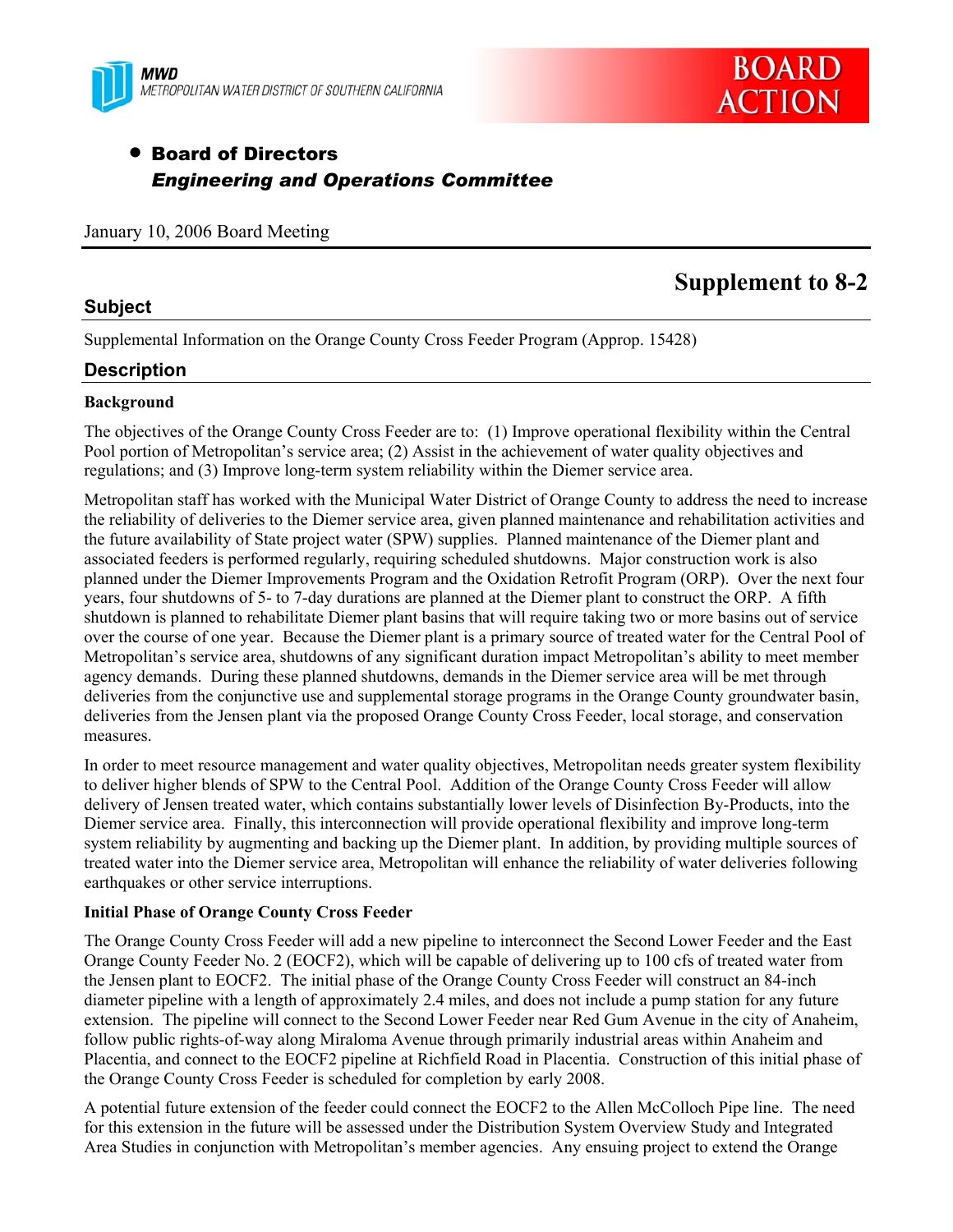



## • Board of Directors *Engineering and Operations Committee*

January 10, 2006 Board Meeting

# **Supplement to 8-2**

Supplemental Information on the Orange County Cross Feeder Program (Approp. 15428)

### **Description**

**Subject** 

#### **Background**

The objectives of the Orange County Cross Feeder are to: (1) Improve operational flexibility within the Central Pool portion of Metropolitan's service area; (2) Assist in the achievement of water quality objectives and regulations; and (3) Improve long-term system reliability within the Diemer service area.

Metropolitan staff has worked with the Municipal Water District of Orange County to address the need to increase the reliability of deliveries to the Diemer service area, given planned maintenance and rehabilitation activities and the future availability of State project water (SPW) supplies. Planned maintenance of the Diemer plant and associated feeders is performed regularly, requiring scheduled shutdowns. Major construction work is also planned under the Diemer Improvements Program and the Oxidation Retrofit Program (ORP). Over the next four years, four shutdowns of 5- to 7-day durations are planned at the Diemer plant to construct the ORP. A fifth shutdown is planned to rehabilitate Diemer plant basins that will require taking two or more basins out of service over the course of one year. Because the Diemer plant is a primary source of treated water for the Central Pool of Metropolitan's service area, shutdowns of any significant duration impact Metropolitan's ability to meet member agency demands. During these planned shutdowns, demands in the Diemer service area will be met through deliveries from the conjunctive use and supplemental storage programs in the Orange County groundwater basin, deliveries from the Jensen plant via the proposed Orange County Cross Feeder, local storage, and conservation measures.

In order to meet resource management and water quality objectives, Metropolitan needs greater system flexibility to deliver higher blends of SPW to the Central Pool. Addition of the Orange County Cross Feeder will allow delivery of Jensen treated water, which contains substantially lower levels of Disinfection By-Products, into the Diemer service area. Finally, this interconnection will provide operational flexibility and improve long-term system reliability by augmenting and backing up the Diemer plant. In addition, by providing multiple sources of treated water into the Diemer service area, Metropolitan will enhance the reliability of water deliveries following earthquakes or other service interruptions.

#### **Initial Phase of Orange County Cross Feeder**

The Orange County Cross Feeder will add a new pipeline to interconnect the Second Lower Feeder and the East Orange County Feeder No. 2 (EOCF2), which will be capable of delivering up to 100 cfs of treated water from the Jensen plant to EOCF2. The initial phase of the Orange County Cross Feeder will construct an 84-inch diameter pipeline with a length of approximately 2.4 miles, and does not include a pump station for any future extension. The pipeline will connect to the Second Lower Feeder near Red Gum Avenue in the city of Anaheim, follow public rights-of-way along Miraloma Avenue through primarily industrial areas within Anaheim and Placentia, and connect to the EOCF2 pipeline at Richfield Road in Placentia. Construction of this initial phase of the Orange County Cross Feeder is scheduled for completion by early 2008.

A potential future extension of the feeder could connect the EOCF2 to the Allen McColloch Pipe line. The need for this extension in the future will be assessed under the Distribution System Overview Study and Integrated Area Studies in conjunction with Metropolitan's member agencies. Any ensuing project to extend the Orange